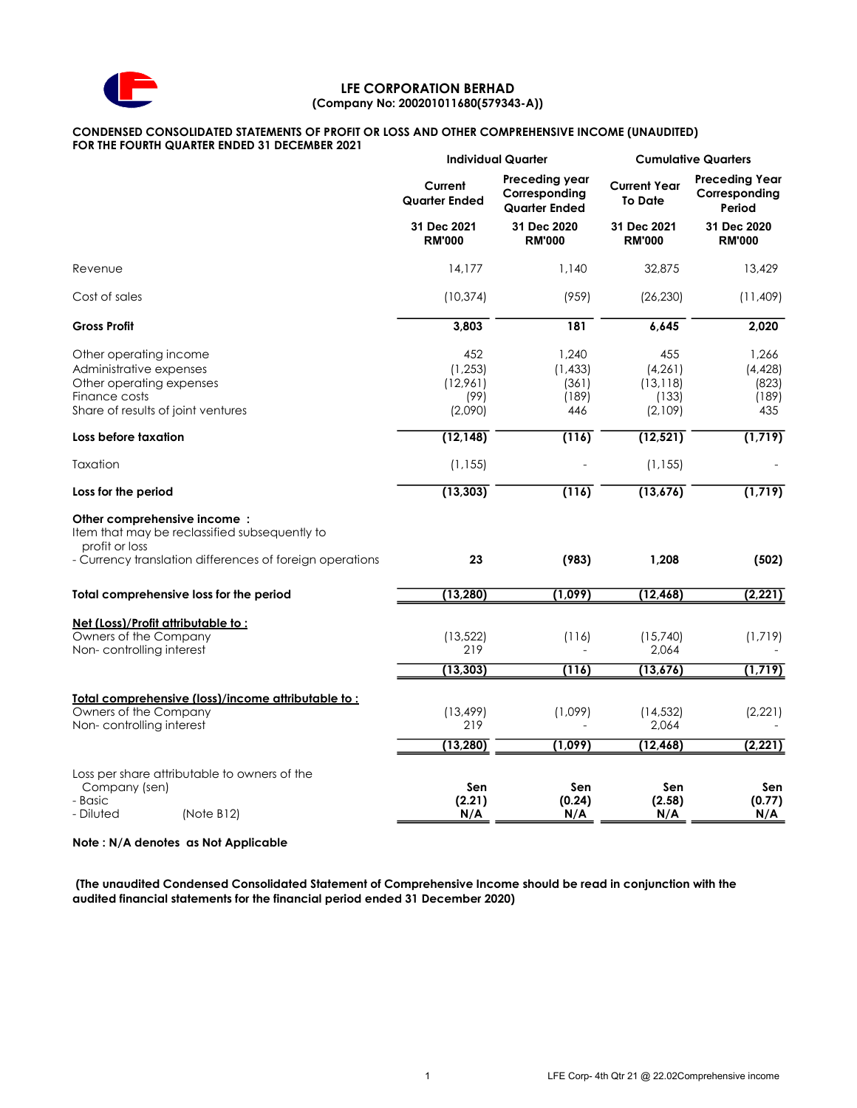

## LFE CORPORATION BERHAD (Company No: 200201011680(579343-A))

# CONDENSED CONSOLIDATED STATEMENTS OF PROFIT OR LOSS AND OTHER COMPREHENSIVE INCOME (UNAUDITED)

FOR THE FOURTH QUARTER ENDED 31 DECEMBER 2021

|                                                                                                                                      | <b>Individual Quarter</b>                      |                                                         | <b>Cumulative Quarters</b>                       |                                                  |  |
|--------------------------------------------------------------------------------------------------------------------------------------|------------------------------------------------|---------------------------------------------------------|--------------------------------------------------|--------------------------------------------------|--|
|                                                                                                                                      | Current<br><b>Quarter Ended</b>                | Preceding year<br>Corresponding<br><b>Quarter Ended</b> | <b>Current Year</b><br><b>To Date</b>            | <b>Preceding Year</b><br>Corresponding<br>Period |  |
|                                                                                                                                      | 31 Dec 2021<br><b>RM'000</b>                   | 31 Dec 2020<br><b>RM'000</b>                            | 31 Dec 2021<br><b>RM'000</b>                     | 31 Dec 2020<br><b>RM'000</b>                     |  |
| Revenue                                                                                                                              | 14.177                                         | 1.140                                                   | 32,875                                           | 13,429                                           |  |
| Cost of sales                                                                                                                        | (10, 374)                                      | (959)                                                   | (26, 230)                                        | (11, 409)                                        |  |
| <b>Gross Profit</b>                                                                                                                  | 3,803                                          | 181                                                     | 6,645                                            | 2,020                                            |  |
| Other operating income<br>Administrative expenses<br>Other operating expenses<br>Finance costs<br>Share of results of joint ventures | 452<br>(1, 253)<br>(12,961)<br>(99)<br>(2,090) | 1,240<br>(1, 433)<br>(361)<br>(189)<br>446              | 455<br>(4, 261)<br>(13, 118)<br>(133)<br>(2,109) | 1,266<br>(4, 428)<br>(823)<br>(189)<br>435       |  |
| Loss before taxation                                                                                                                 | (12, 148)                                      | (116)                                                   | (12, 521)                                        | (1, 719)                                         |  |
| Taxation                                                                                                                             | (1, 155)                                       |                                                         | (1, 155)                                         |                                                  |  |
| Loss for the period                                                                                                                  | (13, 303)                                      | (116)                                                   | (13,676)                                         | (1, 719)                                         |  |
| Other comprehensive income:<br>Item that may be reclassified subsequently to<br>profit or loss                                       |                                                |                                                         |                                                  |                                                  |  |
| - Currency translation differences of foreign operations                                                                             | 23                                             | (983)                                                   | 1,208                                            | (502)                                            |  |
| Total comprehensive loss for the period                                                                                              | (13, 280)                                      | (1,099)                                                 | (12, 468)                                        | (2, 221)                                         |  |
| <u>Net (Loss)/Profit attributable to:</u><br>Owners of the Company<br>Non-controlling interest                                       | (13, 522)<br>219                               | (116)                                                   | (15,740)<br>2,064                                | (1,719)                                          |  |
|                                                                                                                                      | (13, 303)                                      | (116)                                                   | (13, 676)                                        | (1, 719)                                         |  |
| Total comprehensive (loss)/income attributable to:<br>Owners of the Company<br>Non-controlling interest                              | (13, 499)<br>219                               | (1,099)                                                 | (14, 532)<br>2,064                               | (2, 221)                                         |  |
|                                                                                                                                      | (13, 280)                                      | (1,099)                                                 | (12, 468)                                        | (2, 221)                                         |  |
| Loss per share attributable to owners of the<br>Company (sen)<br>- Basic<br>- Diluted<br>(Note B12)                                  | Sen<br>(2.21)<br>N/A                           | Sen<br>(0.24)<br>N/A                                    | Sen<br>(2.58)<br>N/A                             | Sen<br>(0.77)<br>N/A                             |  |

Note : N/A denotes as Not Applicable

 (The unaudited Condensed Consolidated Statement of Comprehensive Income should be read in conjunction with the audited financial statements for the financial period ended 31 December 2020)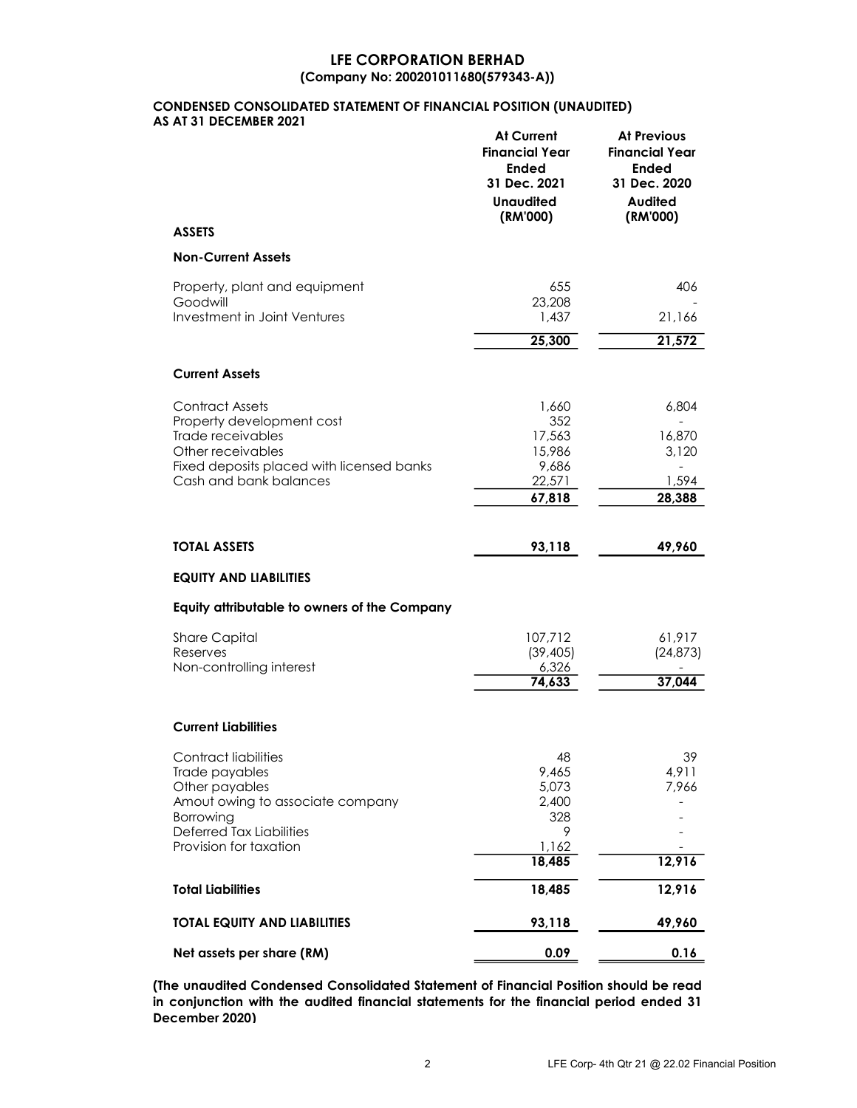## LFE CORPORATION BERHAD (Company No: 200201011680(579343-A))

## CONDENSED CONSOLIDATED STATEMENT OF FINANCIAL POSITION (UNAUDITED) AS AT 31 DECEMBER 2021

|                                                 | <b>At Current</b><br><b>Financial Year</b><br><b>Ended</b><br>31 Dec. 2021<br><b>Unaudited</b><br>(RM'000) | <b>At Previous</b><br><b>Financial Year</b><br><b>Ended</b><br>31 Dec. 2020<br><b>Audited</b><br>(RM'000) |
|-------------------------------------------------|------------------------------------------------------------------------------------------------------------|-----------------------------------------------------------------------------------------------------------|
| <b>ASSETS</b>                                   |                                                                                                            |                                                                                                           |
| <b>Non-Current Assets</b>                       |                                                                                                            |                                                                                                           |
| Property, plant and equipment                   | 655                                                                                                        | 406                                                                                                       |
| Goodwill<br><b>Investment in Joint Ventures</b> | 23,208<br>1,437                                                                                            | 21,166                                                                                                    |
|                                                 | 25,300                                                                                                     | 21,572                                                                                                    |
|                                                 |                                                                                                            |                                                                                                           |
| <b>Current Assets</b>                           |                                                                                                            |                                                                                                           |
| <b>Contract Assets</b>                          | 1,660                                                                                                      | 6,804                                                                                                     |
| Property development cost                       | 352                                                                                                        |                                                                                                           |
| Trade receivables<br>Other receivables          | 17,563<br>15,986                                                                                           | 16,870<br>3,120                                                                                           |
| Fixed deposits placed with licensed banks       | 9,686                                                                                                      | $\overline{\phantom{a}}$                                                                                  |
| Cash and bank balances                          | 22,571                                                                                                     | 1,594                                                                                                     |
|                                                 | 67,818                                                                                                     | 28,388                                                                                                    |
|                                                 |                                                                                                            |                                                                                                           |
| <b>TOTAL ASSETS</b>                             | 93,118                                                                                                     | 49,960                                                                                                    |
| <b>EQUITY AND LIABILITIES</b>                   |                                                                                                            |                                                                                                           |
| Equity attributable to owners of the Company    |                                                                                                            |                                                                                                           |
| <b>Share Capital</b>                            | 107,712                                                                                                    | 61,917                                                                                                    |
| Reserves                                        | (39, 405)                                                                                                  | (24, 873)                                                                                                 |
| Non-controlling interest                        | 6,326<br>74,633                                                                                            | 37,044                                                                                                    |
|                                                 |                                                                                                            |                                                                                                           |
| <b>Current Liabilities</b>                      |                                                                                                            |                                                                                                           |
| <b>Contract liabilities</b>                     | 48                                                                                                         | 39                                                                                                        |
| Trade payables                                  | 9,465                                                                                                      | 4,911                                                                                                     |
| Other payables                                  | 5,073                                                                                                      | 7,966                                                                                                     |
| Amout owing to associate company<br>Borrowing   | 2,400<br>328                                                                                               |                                                                                                           |
| <b>Deferred Tax Liabilities</b>                 | 9                                                                                                          |                                                                                                           |
| Provision for taxation                          | 1,162<br>18,485                                                                                            | 12,916                                                                                                    |
|                                                 |                                                                                                            |                                                                                                           |
| <b>Total Liabilities</b>                        | 18,485                                                                                                     | 12,916                                                                                                    |
| <b>TOTAL EQUITY AND LIABILITIES</b>             | 93,118                                                                                                     | 49,960                                                                                                    |
| Net assets per share (RM)                       | 0.09                                                                                                       | 0.16                                                                                                      |

(The unaudited Condensed Consolidated Statement of Financial Position should be read in conjunction with the audited financial statements for the financial period ended 31 December 2020)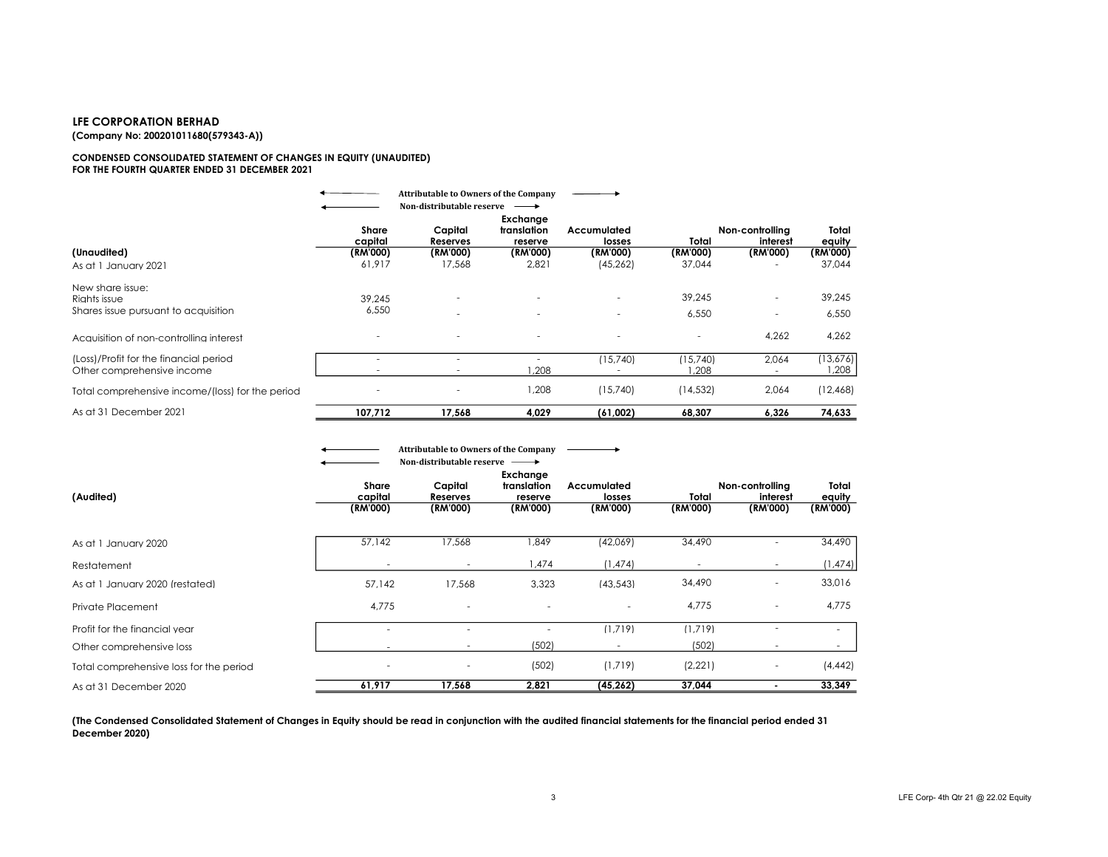## LFE CORPORATION BERHAD

(Company No: 200201011680(579343-A))

#### CONDENSED CONSOLIDATED STATEMENT OF CHANGES IN EQUITY (UNAUDITED) FOR THE FOURTH QUARTER ENDED 31 DECEMBER 2021

|                                                                          |                          | <b>Attributable to Owners of the Company</b> |                                    |                          |                   |                             |                    |
|--------------------------------------------------------------------------|--------------------------|----------------------------------------------|------------------------------------|--------------------------|-------------------|-----------------------------|--------------------|
|                                                                          |                          | Non-distributable reserve                    | $\longrightarrow$                  |                          |                   |                             |                    |
|                                                                          | <b>Share</b><br>capital  | Capital<br>Reserves                          | Exchange<br>translation<br>reserve | Accumulated<br>losses    | Total             | Non-controlling<br>interest | Total<br>equity    |
| (Unaudited)                                                              | (RM'000)                 | (RM'000)                                     | (RM'000)                           | (RM'000)                 | (RM'000)          | (RM'000)                    | (RM'000)           |
| As at 1 January 2021                                                     | 61.917                   | 17,568                                       | 2,821                              | (45, 262)                | 37,044            |                             | 37,044             |
| New share issue:<br>Riahts issue<br>Shares issue pursuant to acquisition | 39,245<br>6,550          |                                              |                                    | $\overline{\phantom{a}}$ | 39,245<br>6.550   | ٠                           | 39.245<br>6,550    |
| Acquisition of non-controlling interest                                  |                          |                                              | $\overline{\phantom{a}}$           | ٠                        | $\sim$            | 4,262                       | 4,262              |
| (Loss)/Profit for the financial period<br>Other comprehensive income     |                          |                                              | .208                               | (15,740)                 | (15.740)<br>1.208 | 2,064                       | (13,676)<br>208, ا |
| Total comprehensive income/(loss) for the period                         | $\overline{\phantom{a}}$ |                                              | 1.208                              | (15,740)                 | (14, 532)         | 2,064                       | (12, 468)          |
| As at 31 December 2021                                                   | 107,712                  | 17,568                                       | 4,029                              | (61,002)                 | 68,307            | 6,326                       | 74,633             |

|                                         |                              | <b>Attributable to Owners of the Company</b><br>Non-distributable reserve $\longrightarrow$ |                                                |                                   |                   |                                         |                             |
|-----------------------------------------|------------------------------|---------------------------------------------------------------------------------------------|------------------------------------------------|-----------------------------------|-------------------|-----------------------------------------|-----------------------------|
| (Audited)                               | Share<br>capital<br>(RM'000) | Capital<br>Reserves<br>(RM'000)                                                             | Exchange<br>translation<br>reserve<br>(RM'000) | Accumulated<br>losses<br>(RM'000) | Total<br>(RM'000) | Non-controlling<br>interest<br>(RM'000) | Total<br>equity<br>(RM'000) |
| As at 1 January 2020                    | 57,142                       | 17,568                                                                                      | 849, ا                                         | (42,069)                          | 34,490            | $\sim$                                  | 34,490                      |
| Restatement                             | $\overline{\phantom{a}}$     | $\overline{\phantom{a}}$                                                                    | 1,474                                          | (1, 474)                          | $\sim$            |                                         | 1,474                       |
| As at 1 January 2020 (restated)         | 57.142                       | 17.568                                                                                      | 3.323                                          | (43.543)                          | 34,490            | $\overline{\phantom{a}}$                | 33,016                      |
| Private Placement                       | 4,775                        | ٠                                                                                           | ٠                                              | $\overline{\phantom{a}}$          | 4,775             | $\overline{\phantom{a}}$                | 4,775                       |
| Profit for the financial vear           |                              | ۰                                                                                           | ٠                                              | (1.719)                           | (1.719)           |                                         |                             |
| Other comprehensive loss                |                              |                                                                                             | (502)                                          |                                   | (502)             |                                         |                             |
| Total comprehensive loss for the period | $\overline{\phantom{a}}$     | ٠                                                                                           | (502)                                          | (1,719)                           | (2,221)           | $\overline{\phantom{a}}$                | (4, 442)                    |
| As at 31 December 2020                  | 61,917                       | 17,568                                                                                      | 2,821                                          | (45,262)                          | 37,044            |                                         | 33,349                      |

(The Condensed Consolidated Statement of Changes in Equity should be read in conjunction with the audited financial statements for the financial period ended 31 December 2020)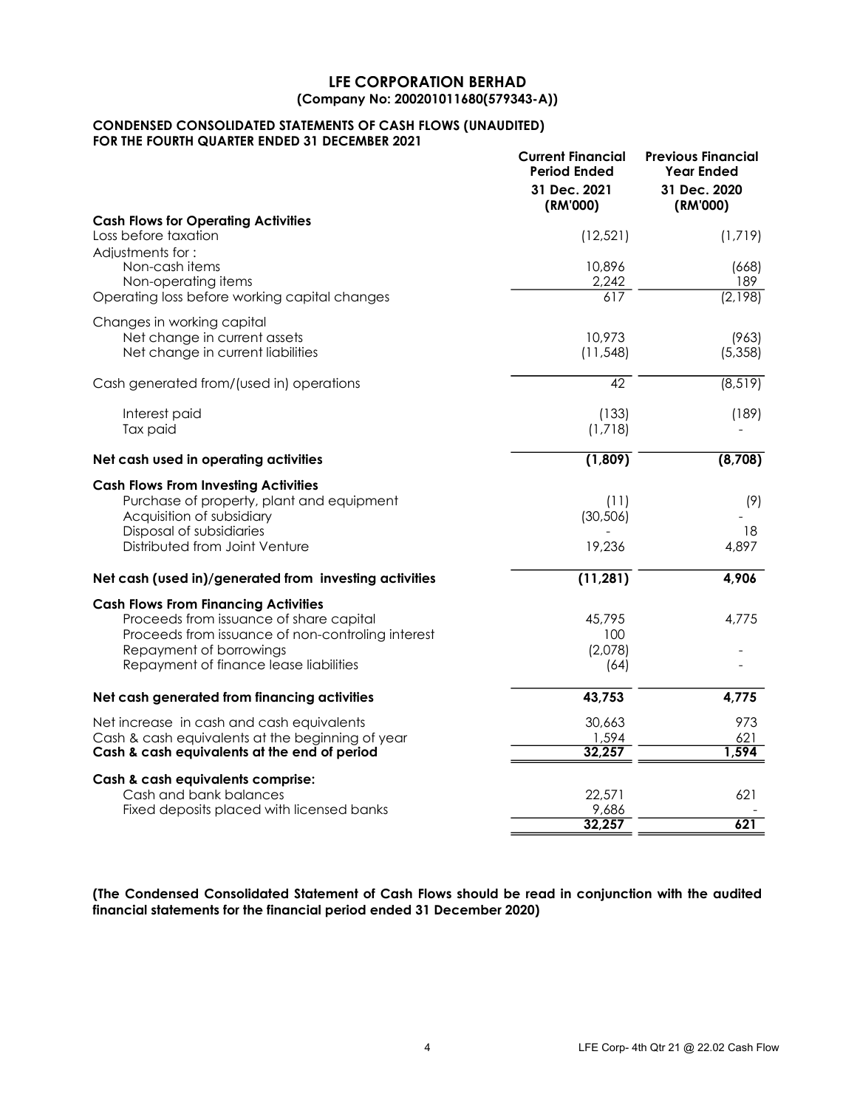## LFE CORPORATION BERHAD (Company No: 200201011680(579343-A))

## CONDENSED CONSOLIDATED STATEMENTS OF CASH FLOWS (UNAUDITED) FOR THE FOURTH QUARTER ENDED 31 DECEMBER 2021

|                                                                                                                                                                                                                  | <b>Current Financial</b><br><b>Period Ended</b><br>31 Dec. 2021<br>(RM'000) | <b>Previous Financial</b><br><b>Year Ended</b><br>31 Dec. 2020<br>(RM'000) |
|------------------------------------------------------------------------------------------------------------------------------------------------------------------------------------------------------------------|-----------------------------------------------------------------------------|----------------------------------------------------------------------------|
| <b>Cash Flows for Operating Activities</b><br>Loss before taxation<br>Adiustments for:                                                                                                                           | (12, 521)                                                                   | (1,719)                                                                    |
| Non-cash items<br>Non-operating items<br>Operating loss before working capital changes                                                                                                                           | 10,896<br>2,242<br>617                                                      | (668)<br>189<br>(2,198)                                                    |
| Changes in working capital                                                                                                                                                                                       |                                                                             |                                                                            |
| Net change in current assets<br>Net change in current liabilities                                                                                                                                                | 10,973<br>(11, 548)                                                         | (963)<br>(5,358)                                                           |
| Cash generated from/(used in) operations                                                                                                                                                                         | 42                                                                          | (8, 519)                                                                   |
| Interest paid<br>Tax paid                                                                                                                                                                                        | (133)<br>(1,718)                                                            | (189)                                                                      |
| Net cash used in operating activities                                                                                                                                                                            | (1,809)                                                                     | (8,708)                                                                    |
| <b>Cash Flows From Investing Activities</b><br>Purchase of property, plant and equipment<br>Acquisition of subsidiary                                                                                            | (11)<br>(30, 506)                                                           | (9)                                                                        |
| Disposal of subsidiaries<br>Distributed from Joint Venture                                                                                                                                                       | 19,236                                                                      | 18<br>4,897                                                                |
| Net cash (used in)/generated from investing activities                                                                                                                                                           | (11, 281)                                                                   | 4,906                                                                      |
| <b>Cash Flows From Financing Activities</b><br>Proceeds from issuance of share capital<br>Proceeds from issuance of non-controling interest<br>Repayment of borrowings<br>Repayment of finance lease liabilities | 45,795<br>100<br>(2,078)<br>(64)                                            | 4,775                                                                      |
| Net cash generated from financing activities                                                                                                                                                                     | 43,753                                                                      | 4,775                                                                      |
| Net increase in cash and cash equivalents<br>Cash & cash equivalents at the beginning of year<br>Cash & cash equivalents at the end of period                                                                    | 30,663<br>1,594<br>32,257                                                   | 973<br>621<br>1,594                                                        |
| Cash & cash equivalents comprise:<br>Cash and bank balances<br>Fixed deposits placed with licensed banks                                                                                                         | 22,571<br>9,686<br>32,257                                                   | 621<br>621                                                                 |

(The Condensed Consolidated Statement of Cash Flows should be read in conjunction with the audited financial statements for the financial period ended 31 December 2020)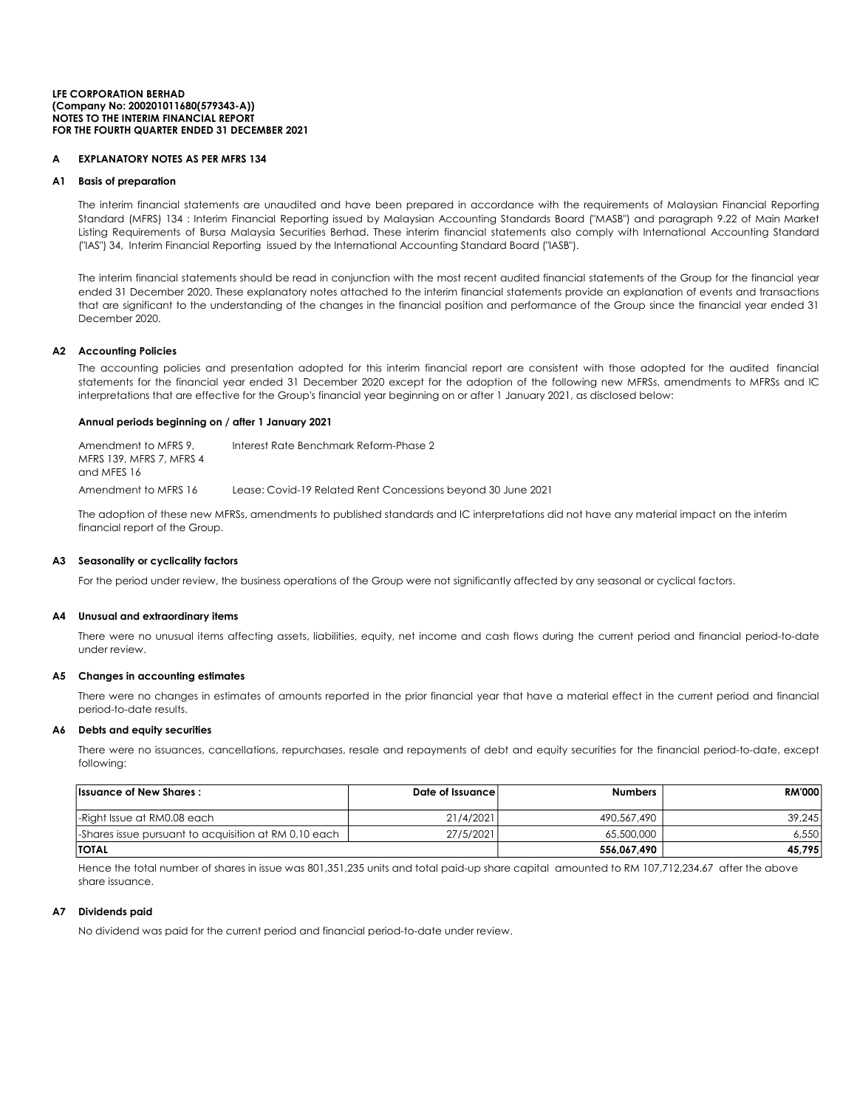#### NOTES TO THE INTERIM FINANCIAL REPORT FOR THE FOURTH QUARTER ENDED 31 DECEMBER 2021 LFE CORPORATION BERHAD (Company No: 200201011680(579343-A))

## **EXPLANATORY NOTES AS PER MFRS 134**

### A1 Basis of preparation

The interim financial statements are unaudited and have been prepared in accordance with the requirements of Malaysian Financial Reporting Standard (MFRS) 134 : Interim Financial Reporting issued by Malaysian Accounting Standards Board ("MASB") and paragraph 9.22 of Main Market Listing Requirements of Bursa Malaysia Securities Berhad. These interim financial statements also comply with International Accounting Standard ("IAS") 34, Interim Financial Reporting issued by the International Accounting Standard Board ("IASB").

The interim financial statements should be read in conjunction with the most recent audited financial statements of the Group for the financial year ended 31 December 2020. These explanatory notes attached to the interim financial statements provide an explanation of events and transactions that are significant to the understanding of the changes in the financial position and performance of the Group since the financial year ended 31 December 2020.

## A2 Accounting Policies

The accounting policies and presentation adopted for this interim financial report are consistent with those adopted for the audited financial statements for the financial year ended 31 December 2020 except for the adoption of the following new MFRSs, amendments to MFRSs and IC interpretations that are effective for the Group's financial year beginning on or after 1 January 2021, as disclosed below:

## Annual periods beginning on / after 1 January 2021

Amendment to MFRS 16 Lease: Covid-19 Related Rent Concessions beyond 30 June 2021 Amendment to MFRS 9, MFRS 139, MFRS 7, MFRS 4 and MFES 16 Interest Rate Benchmark Reform-Phase 2

The adoption of these new MFRSs, amendments to published standards and IC interpretations did not have any material impact on the interim financial report of the Group.

## A3 Seasonality or cyclicality factors

For the period under review, the business operations of the Group were not significantly affected by any seasonal or cyclical factors.

#### A4 Unusual and extraordinary items

There were no unusual items affecting assets, liabilities, equity, net income and cash flows during the current period and financial period-to-date under review.

## A5 Changes in accounting estimates

There were no changes in estimates of amounts reported in the prior financial year that have a material effect in the current period and financial period-to-date results.

#### A6 Debts and equity securities

There were no issuances, cancellations, repurchases, resale and repayments of debt and equity securities for the financial period-to-date, except following:

| <b>Issuance of New Shares:</b>                        | Date of Issuance | <b>Numbers</b> | <b>RM'000</b> |
|-------------------------------------------------------|------------------|----------------|---------------|
| -Right Issue at RM0.08 each                           | 21/4/2021        | 490,567,490    | 39,245        |
| -Shares issue pursuant to acquisition at RM 0.10 each | 27/5/2021        | 65,500,000     | 6.550         |
| <b>TOTAL</b>                                          |                  | 556.067.490    | 45,795        |

Hence the total number of shares in issue was 801,351,235 units and total paid-up share capital amounted to RM 107,712,234.67 after the above share issuance.

#### A7 Dividends paid

No dividend was paid for the current period and financial period-to-date under review.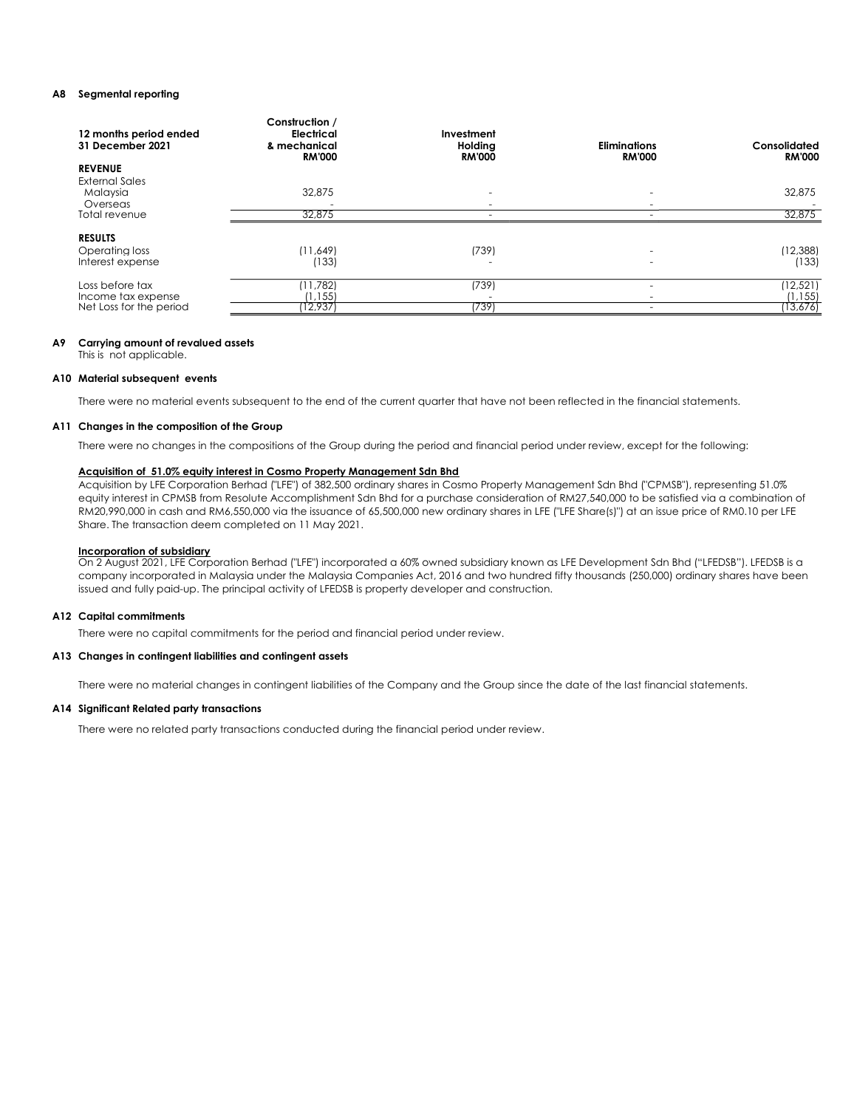## A8 Segmental reporting

| 12 months period ended<br>31 December 2021 | Construction /<br><b>Electrical</b><br>& mechanical<br><b>RM'000</b> | Investment<br>Holding<br><b>RM'000</b> | <b>Eliminations</b><br><b>RM'000</b> | Consolidated<br><b>RM'000</b> |
|--------------------------------------------|----------------------------------------------------------------------|----------------------------------------|--------------------------------------|-------------------------------|
| <b>REVENUE</b>                             |                                                                      |                                        |                                      |                               |
| <b>External Sales</b>                      |                                                                      |                                        |                                      |                               |
| Malaysia                                   | 32,875                                                               |                                        |                                      | 32,875                        |
| Overseas                                   |                                                                      |                                        |                                      |                               |
| Total revenue                              | 32,875                                                               |                                        |                                      | 32,875                        |
| <b>RESULTS</b><br>Operating loss           | (11,649)                                                             | (739)                                  |                                      | (12, 388)                     |
| Interest expense                           | (133)                                                                |                                        |                                      | (133)                         |
| Loss before tax                            | (11,782)                                                             | (739)                                  |                                      | (12, 521)                     |
| Income tax expense                         | (1, 155)                                                             |                                        |                                      | $\frac{(1,155)}{(13,676)}$    |
| Net Loss for the period                    | 12,937                                                               | (739)                                  |                                      |                               |

## A9 Carrying amount of revalued assets

This is not applicable.

#### A10 Material subsequent events

There were no material events subsequent to the end of the current quarter that have not been reflected in the financial statements.

#### A11 Changes in the composition of the Group

There were no changes in the compositions of the Group during the period and financial period under review, except for the following:

#### Acquisition of 51.0% equity interest in Cosmo Property Management Sdn Bhd

Acquisition by LFE Corporation Berhad ("LFE") of 382,500 ordinary shares in Cosmo Property Management Sdn Bhd ("CPMSB"), representing 51.0% equity interest in CPMSB from Resolute Accomplishment Sdn Bhd for a purchase consideration of RM27,540,000 to be satisfied via a combination of RM20,990,000 in cash and RM6,550,000 via the issuance of 65,500,000 new ordinary shares in LFE ("LFE Share(s)") at an issue price of RM0.10 per LFE Share. The transaction deem completed on 11 May 2021.

### Incorporation of subsidiary

On 2 August 2021, LFE Corporation Berhad ("LFE") incorporated a 60% owned subsidiary known as LFE Development Sdn Bhd ("LFEDSB"). LFEDSB is a company incorporated in Malaysia under the Malaysia Companies Act, 2016 and two hundred fifty thousands (250,000) ordinary shares have been issued and fully paid-up. The principal activity of LFEDSB is property developer and construction.

## A12 Capital commitments

There were no capital commitments for the period and financial period under review.

## A13 Changes in contingent liabilities and contingent assets

There were no material changes in contingent liabilities of the Company and the Group since the date of the last financial statements.

## A14 Significant Related party transactions

There were no related party transactions conducted during the financial period under review.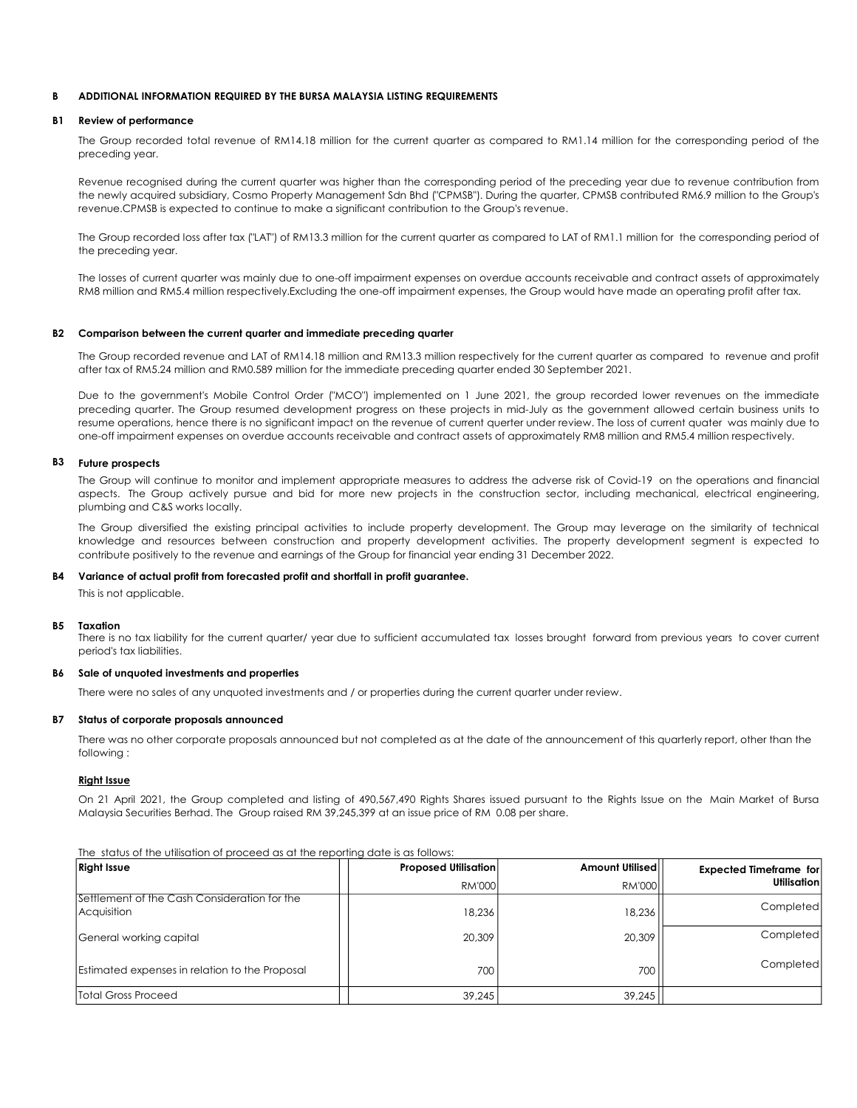### B ADDITIONAL INFORMATION REQUIRED BY THE BURSA MALAYSIA LISTING REQUIREMENTS

#### B1 Review of performance

The Group recorded total revenue of RM14.18 million for the current quarter as compared to RM1.14 million for the corresponding period of the preceding year.

Revenue recognised during the current quarter was higher than the corresponding period of the preceding year due to revenue contribution from the newly acquired subsidiary, Cosmo Property Management Sdn Bhd ("CPMSB"). During the quarter, CPMSB contributed RM6.9 million to the Group's revenue.CPMSB is expected to continue to make a significant contribution to the Group's revenue.

The Group recorded loss after tax ("LAT") of RM13.3 million for the current quarter as compared to LAT of RM1.1 million for the corresponding period of the preceding year.

The losses of current quarter was mainly due to one-off impairment expenses on overdue accounts receivable and contract assets of approximately RM8 million and RM5.4 million respectively.Excluding the one-off impairment expenses, the Group would have made an operating profit after tax.

## B2 Comparison between the current quarter and immediate preceding quarter

The Group recorded revenue and LAT of RM14.18 million and RM13.3 million respectively for the current quarter as compared to revenue and profit after tax of RM5.24 million and RM0.589 million for the immediate preceding quarter ended 30 September 2021.

Due to the government's Mobile Control Order ("MCO") implemented on 1 June 2021, the group recorded lower revenues on the immediate preceding quarter. The Group resumed development progress on these projects in mid-July as the government allowed certain business units to resume operations, hence there is no significant impact on the revenue of current querter under review. The loss of current quater was mainly due to one-off impairment expenses on overdue accounts receivable and contract assets of approximately RM8 million and RM5.4 million respectively.

#### B3 Future prospects

The Group will continue to monitor and implement appropriate measures to address the adverse risk of Covid-19 on the operations and financial aspects. The Group actively pursue and bid for more new projects in the construction sector, including mechanical, electrical engineering, plumbing and C&S works locally.

The Group diversified the existing principal activities to include property development. The Group may leverage on the similarity of technical knowledge and resources between construction and property development activities. The property development segment is expected to contribute positively to the revenue and earnings of the Group for financial year ending 31 December 2022.

### B4 Variance of actual profit from forecasted profit and shortfall in profit guarantee.

This is not applicable.

#### B5 Taxation

There is no tax liability for the current quarter/ year due to sufficient accumulated tax losses brought forward from previous years to cover current period's tax liabilities.

## B6 Sale of unquoted investments and properties

There were no sales of any unquoted investments and / or properties during the current quarter under review.

#### B7 Status of corporate proposals announced

There was no other corporate proposals announced but not completed as at the date of the announcement of this quarterly report, other than the following :

#### Right Issue

On 21 April 2021, the Group completed and listing of 490,567,490 Rights Shares issued pursuant to the Rights Issue on the Main Market of Bursa Malaysia Securities Berhad. The Group raised RM 39,245,399 at an issue price of RM 0.08 per share.

The status of the utilisation of proceed as at the reporting date is as follows:

| <b>Right Issue</b>                                          | <b>Proposed Utilisation</b> | Amount Utilised | <b>Expected Timeframe for</b> |
|-------------------------------------------------------------|-----------------------------|-----------------|-------------------------------|
|                                                             | <b>RM'0001</b>              | <b>RM'000</b>   | Utilisation                   |
| Settlement of the Cash Consideration for the<br>Acquisition | 18.236                      | 18,236          | Completed                     |
| General working capital                                     | 20,309                      | 20,309          | Completed                     |
| Estimated expenses in relation to the Proposal              | 700                         | 700             | Completed                     |
| <b>Total Gross Proceed</b>                                  | 39.245                      | 39.245          |                               |